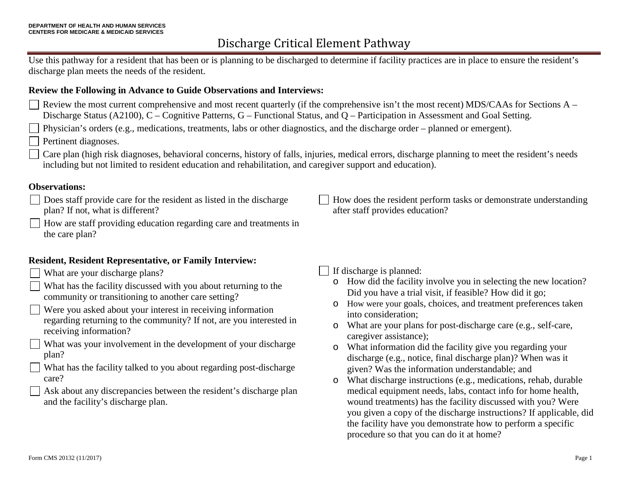# Discharge Critical Element Pathway

Use this pathway for a resident that has been or is planning to be discharged to determine if facility practices are in place to ensure the resident's discharge plan meets the needs of the resident.

#### **Review the Following in Advance to Guide Observations and Interviews:**

Review the most current comprehensive and most recent quarterly (if the comprehensive isn't the most recent) MDS/CAAs for Sections A – Discharge Status (A2100), C – Cognitive Patterns, G – Functional Status, and Q – Participation in Assessment and Goal Setting.

 $\Box$  Physician's orders (e.g., medications, treatments, labs or other diagnostics, and the discharge order – planned or emergent).

Pertinent diagnoses.

Care plan (high risk diagnoses, behavioral concerns, history of falls, injuries, medical errors, discharge planning to meet the resident's needs including but not limited to resident education and rehabilitation, and caregiver support and education).

#### **Observations:**

- Does staff provide care for the resident as listed in the discharge plan? If not, what is different?
- $\Box$  How are staff providing education regarding care and treatments in the care plan?

#### **Resident, Resident Representative, or Family Interview:**

- What are your discharge plans?
- What has the facility discussed with you about returning to the community or transitioning to another care setting?
- Were you asked about your interest in receiving information regarding returning to the community? If not, are you interested in receiving information?
- What was your involvement in the development of your discharge plan?
- $\mathsf{L}$ What has the facility talked to you about regarding post-discharge care?
- Ask about any discrepancies between the resident's discharge plan and the facility's discharge plan.

How does the resident perform tasks or demonstrate understanding after staff provides education?

### If discharge is planned:

- o How did the facility involve you in selecting the new location? Did you have a trial visit, if feasible? How did it go;
- o How were your goals, choices, and treatment preferences taken into consideration;
- o What are your plans for post-discharge care (e.g., self-care, caregiver assistance);
- o What information did the facility give you regarding your discharge (e.g., notice, final discharge plan)? When was it given? Was the information understandable; and
- o What discharge instructions (e.g., medications, rehab, durable medical equipment needs, labs, contact info for home health, wound treatments) has the facility discussed with you? Were you given a copy of the discharge instructions? If applicable, did the facility have you demonstrate how to perform a specific procedure so that you can do it at home?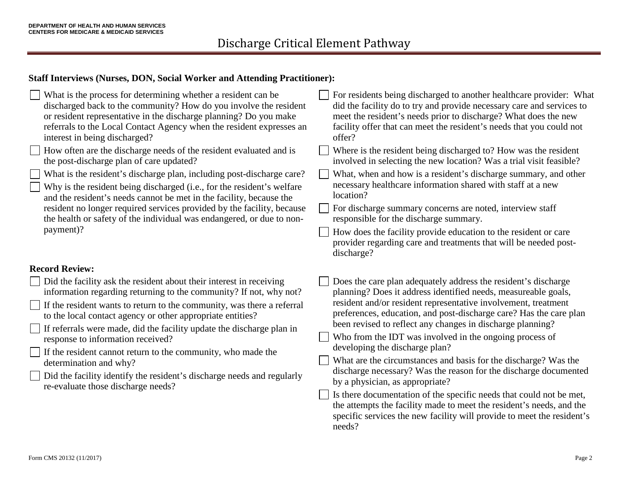#### **Staff Interviews (Nurses, DON, Social Worker and Attending Practitioner):**

| What is the process for determining whether a resident can be<br>discharged back to the community? How do you involve the resident<br>or resident representative in the discharge planning? Do you make<br>referrals to the Local Contact Agency when the resident expresses an<br>interest in being discharged?<br>How often are the discharge needs of the resident evaluated and is<br>the post-discharge plan of care updated?<br>What is the resident's discharge plan, including post-discharge care?<br>Why is the resident being discharged (i.e., for the resident's welfare<br>and the resident's needs cannot be met in the facility, because the<br>resident no longer required services provided by the facility, because<br>the health or safety of the individual was endangered, or due to non-<br>payment)? | For residents being discharged to another healthcare provider: What<br>did the facility do to try and provide necessary care and services to<br>meet the resident's needs prior to discharge? What does the new<br>facility offer that can meet the resident's needs that you could not<br>offer?<br>Where is the resident being discharged to? How was the resident<br>involved in selecting the new location? Was a trial visit feasible?<br>What, when and how is a resident's discharge summary, and other<br>necessary healthcare information shared with staff at a new<br>location?<br>For discharge summary concerns are noted, interview staff<br>responsible for the discharge summary.<br>How does the facility provide education to the resident or care<br>provider regarding care and treatments that will be needed post-<br>discharge? |
|------------------------------------------------------------------------------------------------------------------------------------------------------------------------------------------------------------------------------------------------------------------------------------------------------------------------------------------------------------------------------------------------------------------------------------------------------------------------------------------------------------------------------------------------------------------------------------------------------------------------------------------------------------------------------------------------------------------------------------------------------------------------------------------------------------------------------|--------------------------------------------------------------------------------------------------------------------------------------------------------------------------------------------------------------------------------------------------------------------------------------------------------------------------------------------------------------------------------------------------------------------------------------------------------------------------------------------------------------------------------------------------------------------------------------------------------------------------------------------------------------------------------------------------------------------------------------------------------------------------------------------------------------------------------------------------------|
| <b>Record Review:</b><br>Did the facility ask the resident about their interest in receiving<br>information regarding returning to the community? If not, why not?<br>If the resident wants to return to the community, was there a referral<br>to the local contact agency or other appropriate entities?<br>If referrals were made, did the facility update the discharge plan in<br>response to information received?<br>If the resident cannot return to the community, who made the<br>determination and why?<br>Did the facility identify the resident's discharge needs and regularly<br>re-evaluate those discharge needs?                                                                                                                                                                                           | Does the care plan adequately address the resident's discharge<br>planning? Does it address identified needs, measureable goals,<br>resident and/or resident representative involvement, treatment<br>preferences, education, and post-discharge care? Has the care plan<br>been revised to reflect any changes in discharge planning?<br>Who from the IDT was involved in the ongoing process of<br>developing the discharge plan?<br>What are the circumstances and basis for the discharge? Was the<br>discharge necessary? Was the reason for the discharge documented<br>by a physician, as appropriate?<br>Is there documentation of the specific needs that could not be met,<br>the attempts the facility made to meet the resident's needs, and the<br>specific services the new facility will provide to meet the resident's<br>needs?       |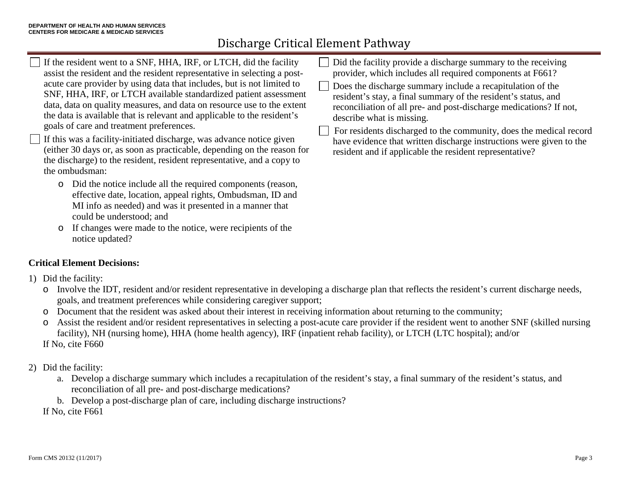# Discharge Critical Element Pathway

- If the resident went to a SNF, HHA, IRF, or LTCH, did the facility assist the resident and the resident representative in selecting a postacute care provider by using data that includes, but is not limited to SNF, HHA, IRF, or LTCH available standardized patient assessment data, data on quality measures, and data on resource use to the extent the data is available that is relevant and applicable to the resident's goals of care and treatment preferences. If this was a facility-initiated discharge, was advance notice given (either 30 days or, as soon as practicable, depending on the reason for the discharge) to the resident, resident representative, and a copy to the ombudsman: o Did the notice include all the required components (reason, Did the facility provide a discharge summary to the receiving provider, which includes all required components at F661? Does the discharge summary include a recapitulation of the resident's stay, a final summary of the resident's status, and reconciliation of all pre- and post-discharge medications? If not, describe what is missing. For residents discharged to the community, does the medical record have evidence that written discharge instructions were given to the resident and if applicable the resident representative?
	- effective date, location, appeal rights, Ombudsman, ID and MI info as needed) and was it presented in a manner that could be understood; and
	- o If changes were made to the notice, were recipients of the notice updated?

## **Critical Element Decisions:**

- 1) Did the facility:
	- o Involve the IDT, resident and/or resident representative in developing a discharge plan that reflects the resident's current discharge needs, goals, and treatment preferences while considering caregiver support;
	- o Document that the resident was asked about their interest in receiving information about returning to the community;
	- o Assist the resident and/or resident representatives in selecting a post-acute care provider if the resident went to another SNF (skilled nursing facility), NH (nursing home), HHA (home health agency), IRF (inpatient rehab facility), or LTCH (LTC hospital); and/or If No, cite F660
- 2) Did the facility:
	- a. Develop a discharge summary which includes a recapitulation of the resident's stay, a final summary of the resident's status, and reconciliation of all pre- and post-discharge medications?
	- b. Develop a post-discharge plan of care, including discharge instructions?

If No, cite F661